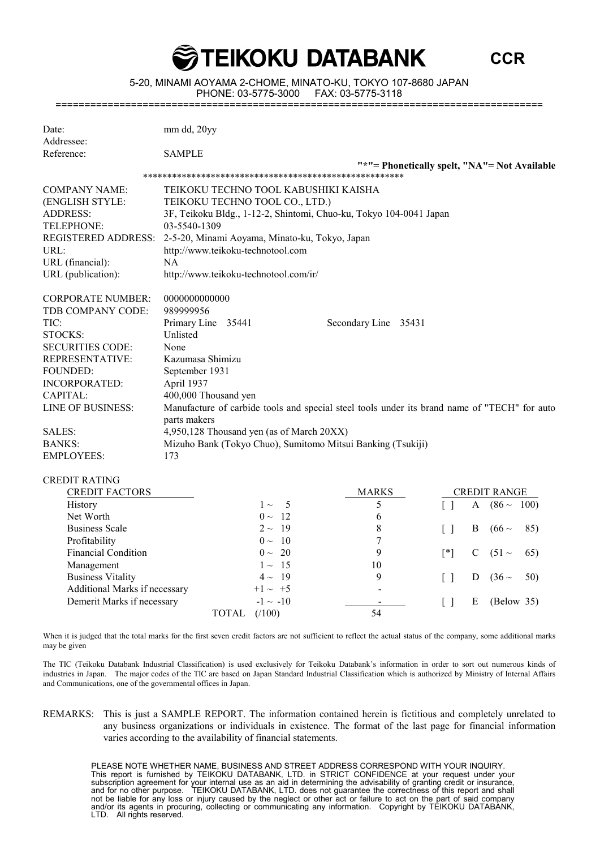5-20, MINAMI AOYAMA 2-CHOME, MINATO-KU, TOKYO 107-8680 JAPAN PHONE: 03-5775-3000

**TEIKOKU DATABANK** 

**CCR**

====================================================================================

| Date:                      | mm dd, 20yy                                                                                  |
|----------------------------|----------------------------------------------------------------------------------------------|
| Addressee:                 |                                                                                              |
| Reference:                 | <b>SAMPLE</b>                                                                                |
|                            | "*"= Phonetically spelt, "NA"= Not Available                                                 |
|                            |                                                                                              |
| <b>COMPANY NAME:</b>       | TEIKOKU TECHNO TOOL KABUSHIKI KAISHA                                                         |
| (ENGLISH STYLE:            | TEIKOKU TECHNO TOOL CO., LTD.)                                                               |
| <b>ADDRESS:</b>            | 3F, Teikoku Bldg., 1-12-2, Shintomi, Chuo-ku, Tokyo 104-0041 Japan                           |
| TELEPHONE:                 | 03-5540-1309                                                                                 |
| <b>REGISTERED ADDRESS:</b> | 2-5-20, Minami Aoyama, Minato-ku, Tokyo, Japan                                               |
| URL:                       | http://www.teikoku-technotool.com                                                            |
| URL (financial):           | <b>NA</b>                                                                                    |
| URL (publication):         | http://www.teikoku-technotool.com/ir/                                                        |
| <b>CORPORATE NUMBER:</b>   | 0000000000000                                                                                |
| TDB COMPANY CODE:          | 989999956                                                                                    |
| TIC:                       | Primary Line 35441<br>Secondary Line 35431                                                   |
| <b>STOCKS:</b>             | Unlisted                                                                                     |
| <b>SECURITIES CODE:</b>    | None                                                                                         |
| <b>REPRESENTATIVE:</b>     | Kazumasa Shimizu                                                                             |
| FOUNDED:                   | September 1931                                                                               |
| <b>INCORPORATED:</b>       | April 1937                                                                                   |
| CAPITAL:                   | 400,000 Thousand yen                                                                         |
| <b>LINE OF BUSINESS:</b>   | Manufacture of carbide tools and special steel tools under its brand name of "TECH" for auto |
|                            | parts makers                                                                                 |
| SALES:                     | 4,950,128 Thousand yen (as of March 20XX)                                                    |
| <b>BANKS:</b>              | Mizuho Bank (Tokyo Chuo), Sumitomo Mitsui Banking (Tsukiji)                                  |
| <b>EMPLOYEES:</b>          | 173                                                                                          |
| <b>CREDIT RATING</b>       |                                                                                              |

| <b>CREDIT FACTORS</b>         | <b>MARKS</b>   |                          |     | <b>CREDIT RANGE</b> |                 |                 |
|-------------------------------|----------------|--------------------------|-----|---------------------|-----------------|-----------------|
| History                       | $1 \sim 5$     |                          |     | A                   | $(86 \sim 100)$ |                 |
| Net Worth                     | $0 \sim 12$    | 6                        |     |                     |                 |                 |
| <b>Business Scale</b>         | $2 \sim 19$    | 8                        |     | B.                  | $(66 \sim$      | 85)             |
| Profitability                 | $0 \sim 10$    |                          |     |                     |                 |                 |
| <b>Financial Condition</b>    | $0 \sim 20$    | 9                        | [*] |                     | C $(51 \sim$    | <sup>65</sup> ) |
| Management                    | $1 \sim 15$    | 10                       |     |                     |                 |                 |
| <b>Business Vitality</b>      | $4 \sim 19$    | 9                        |     | D                   | $(36 \sim$      | 50)             |
| Additional Marks if necessary | $+1 \sim +5$   | $\overline{\phantom{a}}$ |     |                     |                 |                 |
| Demerit Marks if necessary    | $-1 \sim -10$  |                          |     | Е                   | (Below 35)      |                 |
|                               | (100)<br>TOTAL | 54                       |     |                     |                 |                 |

When it is judged that the total marks for the first seven credit factors are not sufficient to reflect the actual status of the company, some additional marks may be given

The TIC (Teikoku Databank Industrial Classification) is used exclusively for Teikoku Databank's information in order to sort out numerous kinds of industries in Japan. The major codes of the TIC are based on Japan Standard Industrial Classification which is authorized by Ministry of Internal Affairs and Communications, one of the governmental offices in Japan.

REMARKS: This is just a SAMPLE REPORT. The information contained herein is fictitious and completely unrelated to any business organizations or individuals in existence. The format of the last page for financial information varies according to the availability of financial statements.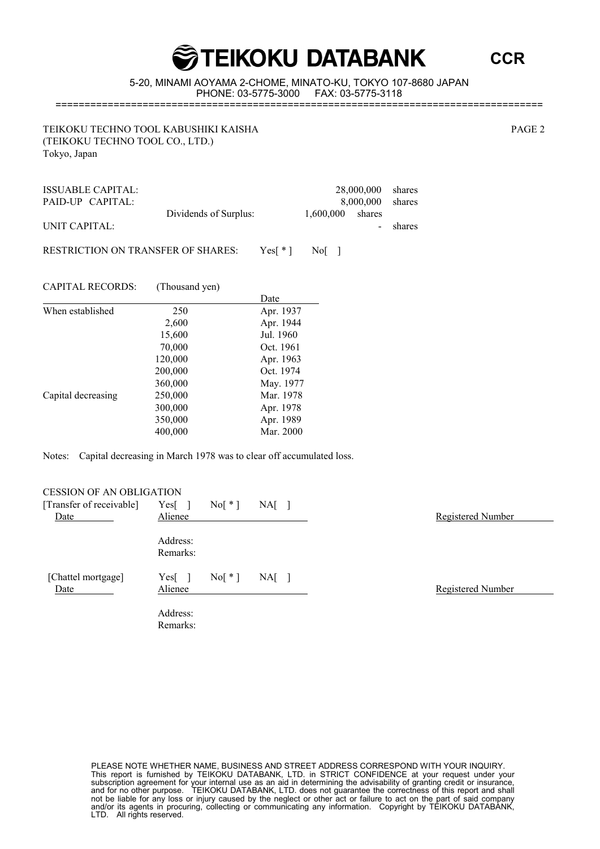**CCR**

5-20, MINAMI AOYAMA 2-CHOME, MINATO-KU, TOKYO 107-8680 JAPAN PHONE: 03-5775-3000 ====================================================================================

TEIKOKU TECHNO TOOL KABUSHIKI KAISHA PAGE 2 (TEIKOKU TECHNO TOOL CO., LTD.) Tokyo, Japan

ISSUABLE CAPITAL: 28,000,000 shares<br>
PAID-UP CAPITAL: 8,000,000 shares PAID-UP CAPITAL: 8,000,000 shares Dividends of Surplus: 1,600,000 shares UNIT CAPITAL: shares RESTRICTION ON TRANSFER OF SHARES: Yes[\*] No[]

CAPITAL RECORDS: (Thousand yen)

|                    |         | Date      |
|--------------------|---------|-----------|
| When established   | 250     | Apr. 1937 |
|                    | 2,600   | Apr. 1944 |
|                    | 15,600  | Jul. 1960 |
|                    | 70,000  | Oct. 1961 |
|                    | 120,000 | Apr. 1963 |
|                    | 200,000 | Oct. 1974 |
|                    | 360,000 | May. 1977 |
| Capital decreasing | 250,000 | Mar. 1978 |
|                    | 300,000 | Apr. 1978 |
|                    | 350,000 | Apr. 1989 |
|                    | 400,000 | Mar. 2000 |

Notes: Capital decreasing in March 1978 was to clear off accumulated loss.

| <b>CESSION OF AN OBLIGATION</b> |                      |           |         |  |                   |
|---------------------------------|----------------------|-----------|---------|--|-------------------|
| [Transfer of receivable]        | Yes <sub>l</sub>     | $Nof * 1$ | $NA[$ ] |  |                   |
| Date                            | Alienee              |           |         |  | Registered Number |
|                                 | Address:<br>Remarks: |           |         |  |                   |
| [Chattel mortgage]<br>Date      | Yes[<br>Alienee      | $Nof * 1$ | $NA[$ ] |  | Registered Number |
|                                 | Address:<br>Remarks: |           |         |  |                   |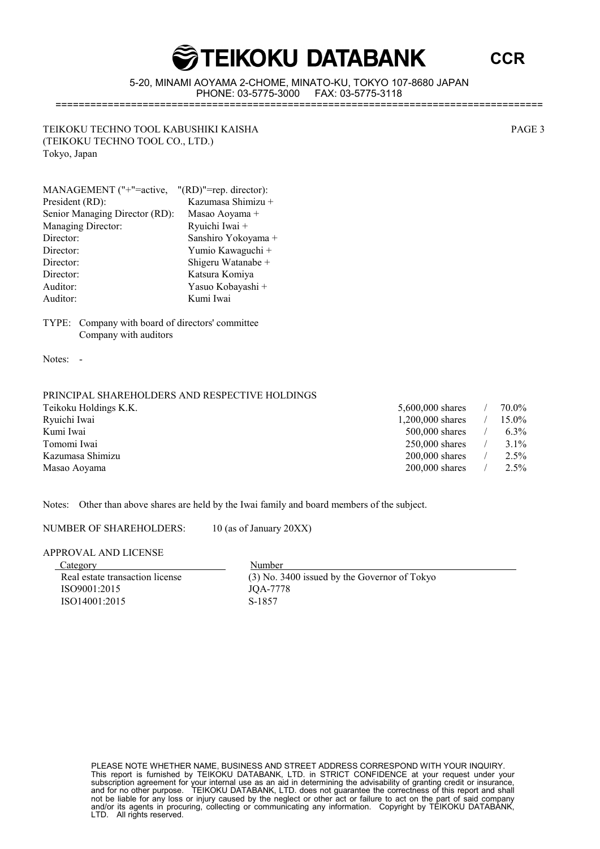5-20, MINAMI AOYAMA 2-CHOME, MINATO-KU, TOKYO 107-8680 JAPAN PHONE: 03-5775-3000 ====================================================================================

TEIKOKU TECHNO TOOL KABUSHIKI KAISHA PAGE 3 (TEIKOKU TECHNO TOOL CO., LTD.) Tokyo, Japan

| MANAGEMENT ("+"=active,        | $"(\text{RD})"=\text{rep. director}:$ |
|--------------------------------|---------------------------------------|
| President (RD):                | Kazumasa Shimizu +                    |
| Senior Managing Director (RD): | Masao Aoyama +                        |
| <b>Managing Director:</b>      | Ryuichi Iwai +                        |
| Director:                      | Sanshiro Yokoyama +                   |
| Director:                      | Yumio Kawaguchi +                     |
| Director:                      | Shigeru Watanabe +                    |
| Director:                      | Katsura Komiya                        |
| Auditor:                       | Yasuo Kobayashi +                     |
| Auditor:                       | Kumi Iwai                             |

TYPE: Company with board of directors' committee Company with auditors

Notes: -

#### PRINCIPAL SHAREHOLDERS AND RESPECTIVE HOLDINGS

| 5,600,000 shares | 70.0%   |
|------------------|---------|
| 1,200,000 shares | 15.0%   |
| $500,000$ shares | $6.3\%$ |
| $250,000$ shares | 3.1%    |
| $200,000$ shares | 2.5%    |
| $200,000$ shares | 2.5%    |
|                  |         |

Notes: Other than above shares are held by the Iwai family and board members of the subject.

NUMBER OF SHAREHOLDERS: 10 (as of January 20XX)

APPROVAL AND LICENSE

Category Number ISO9001:2015 JQA-7778 ISO14001:2015 S-1857

Real estate transaction license (3) No. 3400 issued by the Governor of Tokyo

PLEASE NOTE WHETHER NAME, BUSINESS AND STREET ADDRESS CORRESPOND WITH YOUR INQUIRY. This report is furnished by TEIKOKU DATABANK, LTD. in STRICT CONFIDENCE at your request under your subscription agreement for your internal use as an aid in determining the advisability of granting credit or insurance, and for no other purpose. TEIKOKU DATABANK, LTD. does not guarantee the correctness of this report and shall not be liable for any loss or injury caused by the neglect or other act or failure to act on the part of said company and/or its agents in procuring, collecting or communicating any information. Copyright by TEIKOKU DATABANK, LTD. All rights reserved.

**CCR**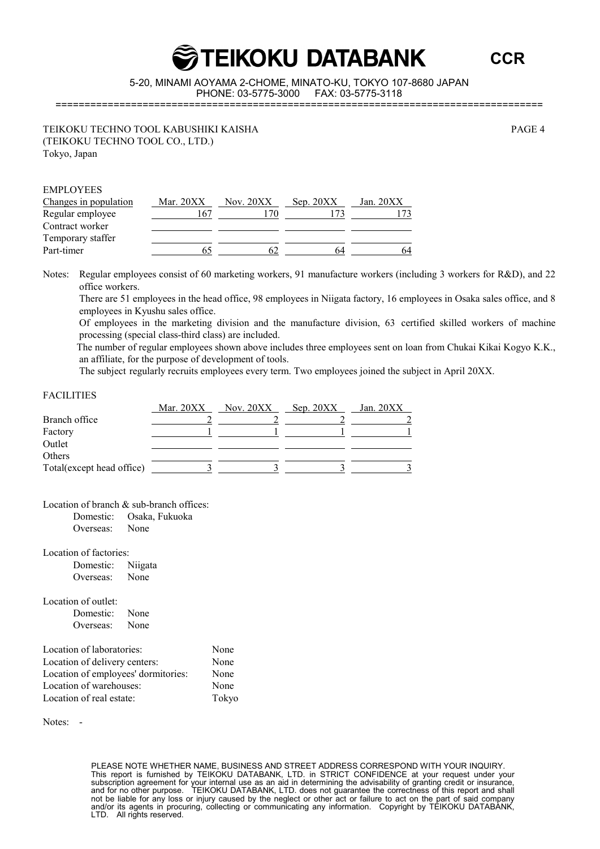**CCR**

5-20, MINAMI AOYAMA 2-CHOME, MINATO-KU, TOKYO 107-8680 JAPAN PHONE: 03-5775-3000 ====================================================================================

TEIKOKU TECHNO TOOL KABUSHIKI KAISHA PAGE 4 (TEIKOKU TECHNO TOOL CO., LTD.) Tokyo, Japan

| <b>EMPLOYEES</b>      |             |             |             |             |
|-----------------------|-------------|-------------|-------------|-------------|
| Changes in population | Mar. $20XX$ | Nov. $20XX$ | Sep. $20XX$ | Jan. $20XX$ |
| Regular employee      | 67          | 70          |             |             |
| Contract worker       |             |             |             |             |
| Temporary staffer     |             |             |             |             |
| Part-timer            |             | h.          | 64          | 64          |

Notes: Regular employees consist of 60 marketing workers, 91 manufacture workers (including 3 workers for R&D), and 22 office workers.

There are 51 employees in the head office, 98 employees in Niigata factory, 16 employees in Osaka sales office, and 8 employees in Kyushu sales office.

Of employees in the marketing division and the manufacture division, 63 certified skilled workers of machine processing (special class-third class) are included.

The number of regular employees shown above includes three employees sent on loan from Chukai Kikai Kogyo K.K., an affiliate, for the purpose of development of tools.

The subject regularly recruits employees every term. Two employees joined the subject in April 20XX.

#### FACILITIES

|                           | Mar. $20XX$ | Nov. $20XX$ | Sep. 20XX | Jan. $20XX$ |
|---------------------------|-------------|-------------|-----------|-------------|
| Branch office             |             |             |           |             |
| Factory                   |             |             |           |             |
| Outlet                    |             |             |           |             |
| Others                    |             |             |           |             |
| Total(except head office) |             |             |           |             |

Location of branch & sub-branch offices:

| Domestic: | Osaka, Fukuoka |
|-----------|----------------|
| Overseas: | None           |

Location of factories:

Domestic: Niigata Overseas: None

Location of outlet:

Domestic: None Overseas: None

| Location of laboratories:           | None  |
|-------------------------------------|-------|
| Location of delivery centers:       | None  |
| Location of employees' dormitories: | None  |
| Location of warehouses:             | None  |
| Location of real estate:            | Tokyo |

Notes: -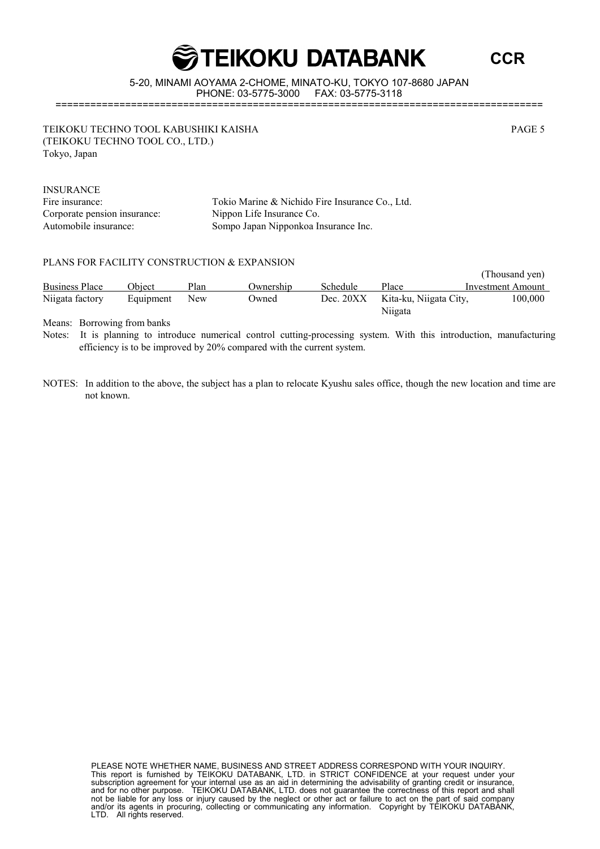**CCR**

5-20, MINAMI AOYAMA 2-CHOME, MINATO-KU, TOKYO 107-8680 JAPAN PHONE: 03-5775-3000

====================================================================================

TEIKOKU TECHNO TOOL KABUSHIKI KAISHA PAGE 5 (TEIKOKU TECHNO TOOL CO., LTD.) Tokyo, Japan

INSURANCE Corporate pension insurance: Nippon Life Insurance Co.

Fire insurance: Tokio Marine & Nichido Fire Insurance Co., Ltd. Automobile insurance: Sompo Japan Nipponkoa Insurance Inc.

#### PLANS FOR FACILITY CONSTRUCTION & EXPANSION

|                       |               |      |              |             |                        | (Thousand yen)    |
|-----------------------|---------------|------|--------------|-------------|------------------------|-------------------|
| <b>Business Place</b> | <b>Obiect</b> | Plan | Ownership    | Schedule    | Place                  | Investment Amount |
| Niigata factory       | Equipment     | New  | <b>Dwned</b> | Dec. $20XX$ | Kita-ku, Niigata City, | 100,000           |
|                       |               |      |              |             | Niigata                |                   |

Means: Borrowing from banks

Notes: It is planning to introduce numerical control cutting-processing system. With this introduction, manufacturing efficiency is to be improved by 20% compared with the current system.

NOTES: In addition to the above, the subject has a plan to relocate Kyushu sales office, though the new location and time are not known.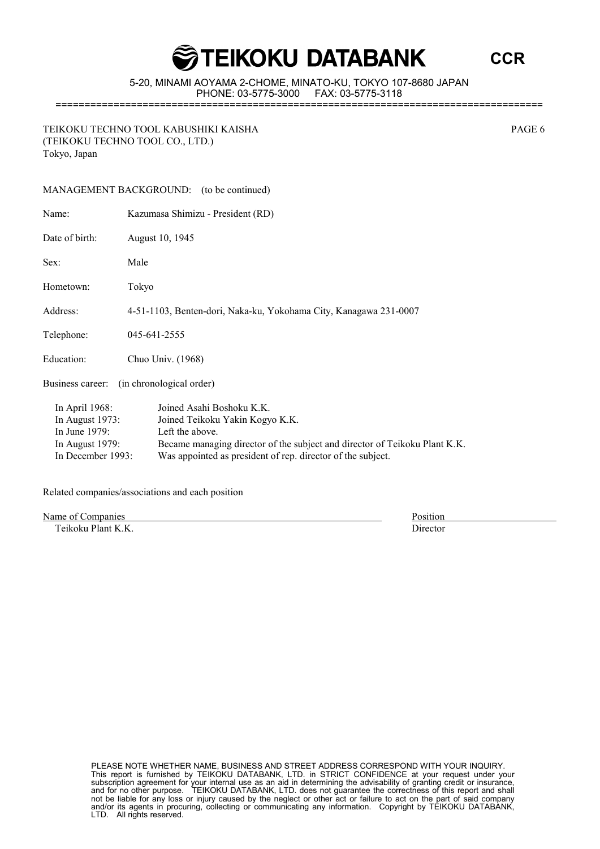**CCR**

5-20, MINAMI AOYAMA 2-CHOME, MINATO-KU, TOKYO 107-8680 JAPAN PHONE: 03-5775-3000 FAX: 03-5775-3118

====================================================================================

TEIKOKU TECHNO TOOL KABUSHIKI KAISHA PAGE 6 (TEIKOKU TECHNO TOOL CO., LTD.) Tokyo, Japan

|            |                                                                                | MANAGEMENT BACKGROUND: (to be continued)                                                                                                                      |  |  |  |  |
|------------|--------------------------------------------------------------------------------|---------------------------------------------------------------------------------------------------------------------------------------------------------------|--|--|--|--|
|            | Name:                                                                          | Kazumasa Shimizu - President (RD)                                                                                                                             |  |  |  |  |
|            | Date of birth:                                                                 | August 10, 1945                                                                                                                                               |  |  |  |  |
|            | Sex:                                                                           | Male                                                                                                                                                          |  |  |  |  |
|            | Hometown:                                                                      | Tokyo                                                                                                                                                         |  |  |  |  |
|            | Address:                                                                       | 4-51-1103, Benten-dori, Naka-ku, Yokohama City, Kanagawa 231-0007                                                                                             |  |  |  |  |
|            | Telephone:                                                                     | 045-641-2555                                                                                                                                                  |  |  |  |  |
| Education: |                                                                                | Chuo Univ. (1968)                                                                                                                                             |  |  |  |  |
|            | (in chronological order)<br>Business career:                                   |                                                                                                                                                               |  |  |  |  |
|            | In April 1968:<br>In August $1973$ :<br>In June $1979$ :<br>In August $1979$ : | Joined Asahi Boshoku K.K.<br>Joined Teikoku Yakin Kogyo K.K.<br>Left the above.<br>Became managing director of the subject and director of Teikoku Plant K.K. |  |  |  |  |
|            | In December 1993:                                                              | Was appointed as president of rep. director of the subject.                                                                                                   |  |  |  |  |

Related companies/associations and each position

Name of Companies Position

Teikoku Plant K.K. Director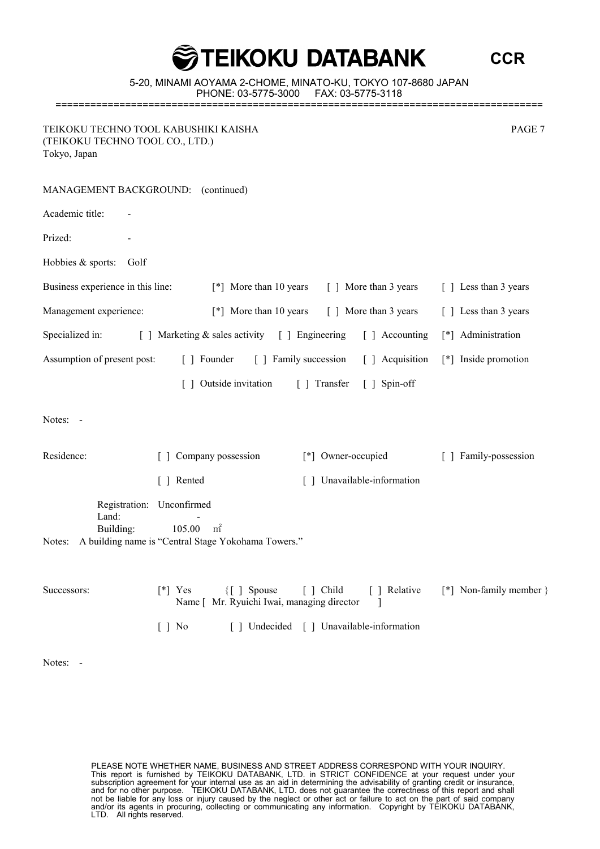**CCR**

5-20, MINAMI AOYAMA 2-CHOME, MINATO-KU, TOKYO 107-8680 JAPAN PHONE: 03-5775-3000 FAX: 03-5775-3118 ====================================================================================

TEIKOKU TECHNO TOOL KABUSHIKI KAISHA PAGE 7 (TEIKOKU TECHNO TOOL CO., LTD.) Tokyo, Japan

| MANAGEMENT BACKGROUND: (continued) |                                                                                                              |                                          |                       |
|------------------------------------|--------------------------------------------------------------------------------------------------------------|------------------------------------------|-----------------------|
| Academic title:                    |                                                                                                              |                                          |                       |
| Prized:                            |                                                                                                              |                                          |                       |
| Hobbies & sports:<br>Golf          |                                                                                                              |                                          |                       |
| Business experience in this line:  | [*] More than 10 years                                                                                       | [ ] More than 3 years                    | [ ] Less than 3 years |
| Management experience:             | [*] More than 10 years                                                                                       | [ ] More than 3 years                    | [ ] Less than 3 years |
| Specialized in:                    | [ ] Marketing & sales activity [ ] Engineering                                                               | [ ] Accounting                           | [*] Administration    |
| Assumption of present post:        | [ ] Founder                                                                                                  | [ ] Family succession<br>[ ] Acquisition | [*] Inside promotion  |
|                                    | [] Outside invitation                                                                                        | [ ] Transfer<br>[ ] Spin-off             |                       |
| Notes: -                           |                                                                                                              |                                          |                       |
| Residence:                         | Company possession                                                                                           | [*] Owner-occupied                       | [ ] Family-possession |
|                                    | [ ] Rented                                                                                                   | [] Unavailable-information               |                       |
| Land:<br>Building:<br>Notes:       | Registration: Unconfirmed<br>m <sup>2</sup><br>105.00<br>A building name is "Central Stage Yokohama Towers." |                                          |                       |

| Successors: | <sup>[*]</sup> Yes | {[ ] Spouse [ ] Child                      | 1 Relative                              | [*] Non-family member } |
|-------------|--------------------|--------------------------------------------|-----------------------------------------|-------------------------|
|             |                    | Name [ Mr. Ryuichi Iwai, managing director |                                         |                         |
|             | 1 No               |                                            | [] Undecided [] Unavailable-information |                         |

Notes: -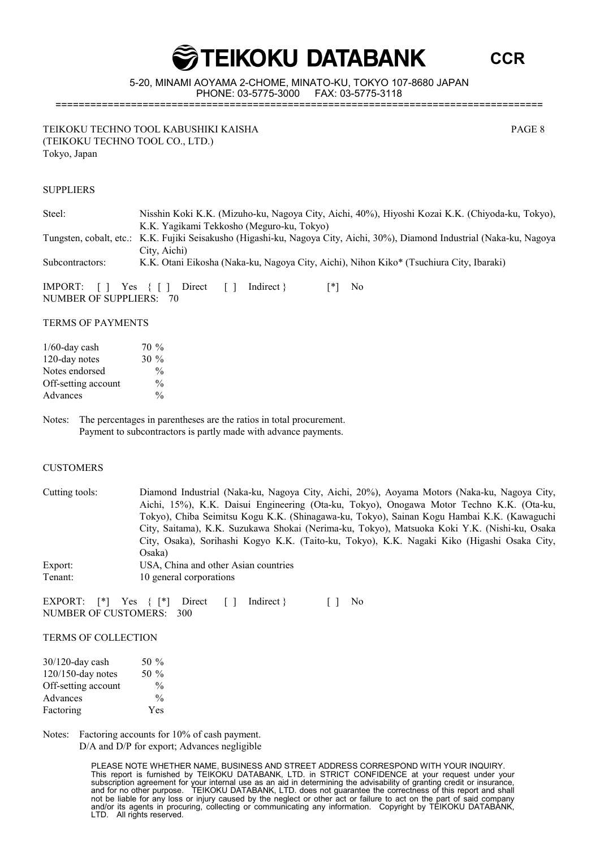**CCR**

5-20, MINAMI AOYAMA 2-CHOME, MINATO-KU, TOKYO 107-8680 JAPAN PHONE: 03-5775-3000 FAX: 03-5775-3118 ====================================================================================

TEIKOKU TECHNO TOOL KABUSHIKI KAISHA PAGE 8 (TEIKOKU TECHNO TOOL CO., LTD.) Tokyo, Japan

SUPPLIERS

| Steel:                   | Nisshin Koki K.K. (Mizuho-ku, Nagoya City, Aichi, 40%), Hiyoshi Kozai K.K. (Chiyoda-ku, Tokyo),<br>K.K. Yagikami Tekkosho (Meguro-ku, Tokyo)      |
|--------------------------|---------------------------------------------------------------------------------------------------------------------------------------------------|
|                          | Tungsten, cobalt, etc.: K.K. Fujiki Seisakusho (Higashi-ku, Nagoya City, Aichi, 30%), Diamond Industrial (Naka-ku, Nagoya<br>City, Aichi)         |
| Subcontractors:          | K.K. Otani Eikosha (Naka-ku, Nagoya City, Aichi), Nihon Kiko* (Tsuchiura City, Ibaraki)                                                           |
| NUMBER OF SUPPLIERS: 70  | IMPORT: $\begin{bmatrix} \end{bmatrix}$ Yes $\begin{bmatrix} \end{bmatrix}$ Direct $\begin{bmatrix} \end{bmatrix}$<br>Indirect $\}$<br>[*]<br>No. |
| <b>TERMS OF PAYMENTS</b> |                                                                                                                                                   |

| $1/60$ -day cash    | $70\%$        |
|---------------------|---------------|
| 120-day notes       | $30\%$        |
| Notes endorsed      | $\frac{0}{0}$ |
| Off-setting account | $\frac{0}{0}$ |
| Advances            | $\frac{0}{0}$ |

Notes: The percentages in parentheses are the ratios in total procurement. Payment to subcontractors is partly made with advance payments.

#### **CUSTOMERS**

| Cutting tools: | Diamond Industrial (Naka-ku, Nagoya City, Aichi, 20%), Aoyama Motors (Naka-ku, Nagoya City,  |
|----------------|----------------------------------------------------------------------------------------------|
|                | Aichi, 15%), K.K. Daisui Engineering (Ota-ku, Tokyo), Onogawa Motor Techno K.K. (Ota-ku,     |
|                | Tokyo), Chiba Seimitsu Kogu K.K. (Shinagawa-ku, Tokyo), Sainan Kogu Hambai K.K. (Kawaguchi   |
|                | City, Saitama), K.K. Suzukawa Shokai (Nerima-ku, Tokyo), Matsuoka Koki Y.K. (Nishi-ku, Osaka |
|                | City, Osaka), Sorihashi Kogyo K.K. (Taito-ku, Tokyo), K.K. Nagaki Kiko (Higashi Osaka City,  |
|                | Osaka)                                                                                       |
| Export:        | USA, China and other Asian countries                                                         |
| Tenant:        | 10 general corporations                                                                      |

EXPORT:  $[ * ]$  Yes  $\{ [ * ]$  Direct  $[ ]$  Indirect  $\}$  [ ] No NUMBER OF CUSTOMERS: 300

TERMS OF COLLECTION

| 30/120-day cash     | 50 $\%$       |
|---------------------|---------------|
| 120/150-day notes   | 50 $\%$       |
| Off-setting account | $\frac{0}{0}$ |
| Advances            | $\frac{0}{0}$ |
| Factoring           | Yes           |

Notes: Factoring accounts for 10% of cash payment. D/A and D/P for export; Advances negligible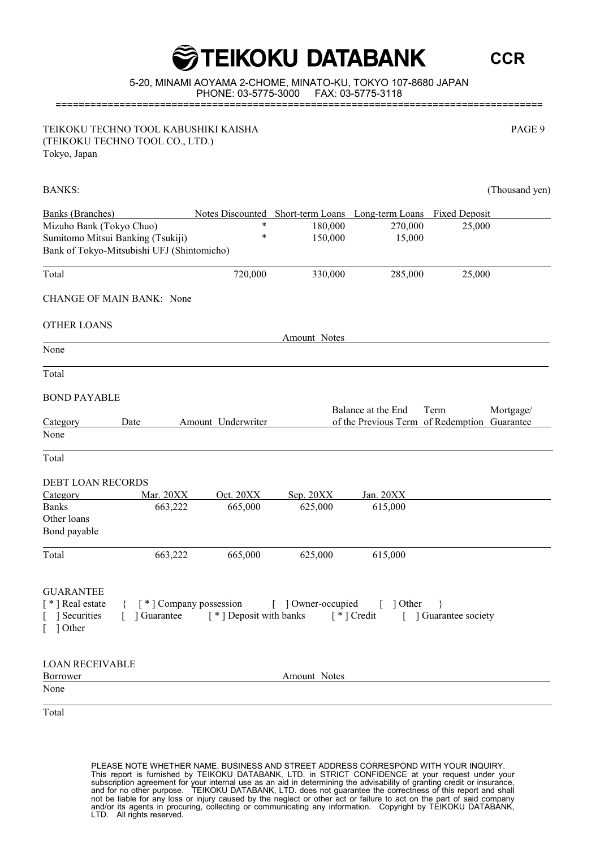#### 5-20, MINAMI AOYAMA 2-CHOME, MINATO-KU, TOKYO 107-8680 JAPAN PHONE: 03-5775-3000 FAX: 03-5775-3118 ====================================================================================

**GOBBANG TEIKOKU DATABANK** 

TEIKOKU TECHNO TOOL KABUSHIKI KAISHA PAGE 9 (TEIKOKU TECHNO TOOL CO., LTD.) Tokyo, Japan

| <b>Banks</b> (Branches)                    |                                             | Notes Discounted Short-term Loans Long-term Loans Fixed Deposit |                          |                                              |
|--------------------------------------------|---------------------------------------------|-----------------------------------------------------------------|--------------------------|----------------------------------------------|
| Mizuho Bank (Tokyo Chuo)                   | $\ast$                                      | 180,000                                                         | 270,000                  | 25,000                                       |
| Sumitomo Mitsui Banking (Tsukiji)          | $\ast$                                      | 150,000                                                         | 15,000                   |                                              |
| Bank of Tokyo-Mitsubishi UFJ (Shintomicho) |                                             |                                                                 |                          |                                              |
|                                            |                                             |                                                                 |                          |                                              |
| Total                                      | 720,000                                     | 330,000                                                         | 285,000                  | 25,000                                       |
| CHANGE OF MAIN BANK: None                  |                                             |                                                                 |                          |                                              |
| <b>OTHER LOANS</b>                         |                                             |                                                                 |                          |                                              |
|                                            |                                             | Amount Notes                                                    |                          |                                              |
| None                                       |                                             |                                                                 |                          |                                              |
|                                            |                                             |                                                                 |                          |                                              |
| Total                                      |                                             |                                                                 |                          |                                              |
| <b>BOND PAYABLE</b>                        |                                             |                                                                 |                          |                                              |
|                                            |                                             |                                                                 | Balance at the End       | Mortgage/<br>Term                            |
| Category<br>Date                           | Amount Underwriter                          |                                                                 |                          | of the Previous Term of Redemption Guarantee |
| None                                       |                                             |                                                                 |                          |                                              |
| Total                                      |                                             |                                                                 |                          |                                              |
|                                            |                                             |                                                                 |                          |                                              |
| <b>DEBT LOAN RECORDS</b>                   |                                             |                                                                 |                          |                                              |
| Mar. 20XX<br>Category                      | Oct. 20XX                                   | Sep. $20XX$                                                     | Jan. 20XX                |                                              |
| <b>Banks</b><br>663,222                    | 665,000                                     | 625,000                                                         | 615,000                  |                                              |
| Other loans                                |                                             |                                                                 |                          |                                              |
| Bond payable                               |                                             |                                                                 |                          |                                              |
| 663,222<br>Total                           | 665,000                                     | 625,000                                                         | 615,000                  |                                              |
|                                            |                                             |                                                                 |                          |                                              |
| <b>GUARANTEE</b>                           |                                             |                                                                 |                          |                                              |
| [ * ] Real estate                          | { [*] Company possession [ ] Owner-occupied |                                                                 | $\lceil$ 1 Other         | - }                                          |
| Securities<br>[ ] Guarantee                | $\lceil * \rceil$ Deposit with banks        |                                                                 | $\lceil * \rceil$ Credit | [ ] Guarantee society                        |
| $\lceil$ 1 Other                           |                                             |                                                                 |                          |                                              |
|                                            |                                             |                                                                 |                          |                                              |
| <b>LOAN RECEIVABLE</b>                     |                                             |                                                                 |                          |                                              |
| Borrower                                   |                                             | Amount Notes                                                    |                          |                                              |
| None                                       |                                             |                                                                 |                          |                                              |
| Total                                      |                                             |                                                                 |                          |                                              |

PLEASE NOTE WHETHER NAME, BUSINESS AND STREET ADDRESS CORRESPOND WITH YOUR INQUIRY. This report is furnished by TEIKOKU DATABANK, LTD. in STRICT CONFIDENCE at your request under your subscription agreement for your internal use as an aid in determining the advisability of granting credit or insurance, and for no other purpose. TEIKOKU DATABANK, LTD. does not guarantee the correctness of this report and shall not be liable for any loss or injury caused by the neglect or other act or failure to act on the part of said company and/or its agents in procuring, collecting or communicating any information. Copyright by TEIKOKU DATABANK, LTD. All rights reserved.

**CCR**

BANKS: (Thousand yen) (Thousand yen) and the state of the state of the state of the state of the state of the state of the state of the state of the state of the state of the state of the state of the state of the state of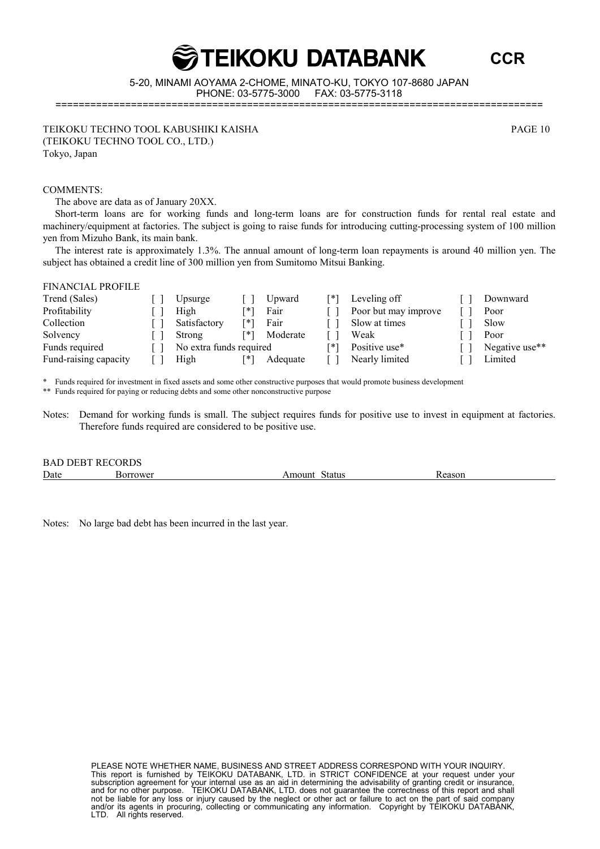#### PLEASE NOTE WHETHER NAME, BUSINESS AND STREET ADDRESS CORRESPOND WITH YOUR INQUIRY. This report is furnished by TEIKOKU DATABANK, LTD. in STRICT CONFIDENCE at your request under your subscription agreement for your internal use as an aid in determining the advisability of granting credit or insurance, and for no other purpose. TEIKOKU DATABANK, LTD. does not guarantee the correctness of this report and shall not be liable for any loss or injury caused by the neglect or other act or failure to act on the part of said company and/or its agents in procuring, collecting or communicating any information. Copyright by TEIKOKU DATABANK, LTD. All rights reserved.

**GTEIKOKU DATABANK** 

5-20, MINAMI AOYAMA 2-CHOME, MINATO-KU, TOKYO 107-8680 JAPAN PHONE: 03-5775-3000 FAX: 03-5775-3118

====================================================================================

TEIKOKU TECHNO TOOL KABUSHIKI KAISHA PAGE 10 (TEIKOKU TECHNO TOOL CO., LTD.) Tokyo, Japan

#### COMMENTS:

The above are data as of January 20XX.

Short-term loans are for working funds and long-term loans are for construction funds for rental real estate and machinery/equipment at factories. The subject is going to raise funds for introducing cutting-processing system of 100 million yen from Mizuho Bank, its main bank.

The interest rate is approximately 1.3%. The annual amount of long-term loan repayments is around 40 million yen. The subject has obtained a credit line of 300 million yen from Sumitomo Mitsui Banking.

#### FINANCIAL PROFILE

| Trend (Sales)         | Upsurge                 |      | Upward   | [*] | Leveling off         | Downward       |
|-----------------------|-------------------------|------|----------|-----|----------------------|----------------|
| Profitability         | High                    | 「*゛  | Fair     |     | Poor but may improve | Poor           |
| Collection            | Satisfactory            | Г* 1 | Fair     |     | Slow at times        | Slow           |
| Solvency              | Strong                  | [*]  | Moderate |     | Weak                 | Poor           |
| Funds required        | No extra funds required |      |          | ⊺*1 | Positive use*        | Negative use** |
| Fund-raising capacity | High                    | ⊺* ' | Adequate |     | Nearly limited       | Limited        |

Funds required for investment in fixed assets and some other constructive purposes that would promote business development

Funds required for paying or reducing debts and some other nonconstructive purpose

Notes: Demand for working funds is small. The subject requires funds for positive use to invest in equipment at factories. Therefore funds required are considered to be positive use.

BAD DEBT RECORDS Date Borrower **Amount Status** Reason

Notes: No large bad debt has been incurred in the last year.

**CCR**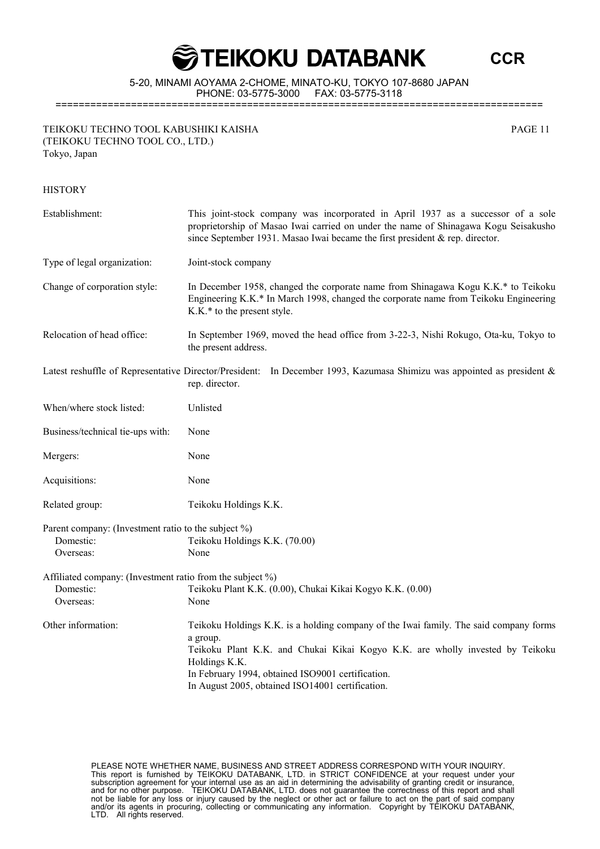**CCR**

5-20, MINAMI AOYAMA 2-CHOME, MINATO-KU, TOKYO 107-8680 JAPAN PHONE: 03-5775-3000 FAX: 03-5775-3118 ====================================================================================

TEIKOKU TECHNO TOOL KABUSHIKI KAISHA PAGE 11 (TEIKOKU TECHNO TOOL CO., LTD.) Tokyo, Japan

**HISTORY** 

### Establishment: This joint-stock company was incorporated in April 1937 as a successor of a sole proprietorship of Masao Iwai carried on under the name of Shinagawa Kogu Seisakusho since September 1931. Masao Iwai became the first president & rep. director. Type of legal organization: Joint-stock company Change of corporation style: In December 1958, changed the corporate name from Shinagawa Kogu K.K.\* to Teikoku Engineering K.K.\* In March 1998, changed the corporate name from Teikoku Engineering K.K.\* to the present style. Relocation of head office: In September 1969, moved the head office from 3-22-3, Nishi Rokugo, Ota-ku, Tokyo to the present address. Latest reshuffle of Representative Director/President: In December 1993, Kazumasa Shimizu was appointed as president & rep. director. When/where stock listed: Unlisted Business/technical tie-ups with: None Mergers: None Acquisitions: None Related group: Teikoku Holdings K.K. Parent company: (Investment ratio to the subject %) Domestic: Teikoku Holdings K.K. (70.00) Overseas: None Affiliated company: (Investment ratio from the subject %) Domestic: Teikoku Plant K.K. (0.00), Chukai Kikai Kogyo K.K. (0.00) Overseas: None Other information: Teikoku Holdings K.K. is a holding company of the Iwai family. The said company forms a group. Teikoku Plant K.K. and Chukai Kikai Kogyo K.K. are wholly invested by Teikoku Holdings K.K. In February 1994, obtained ISO9001 certification. In August 2005, obtained ISO14001 certification.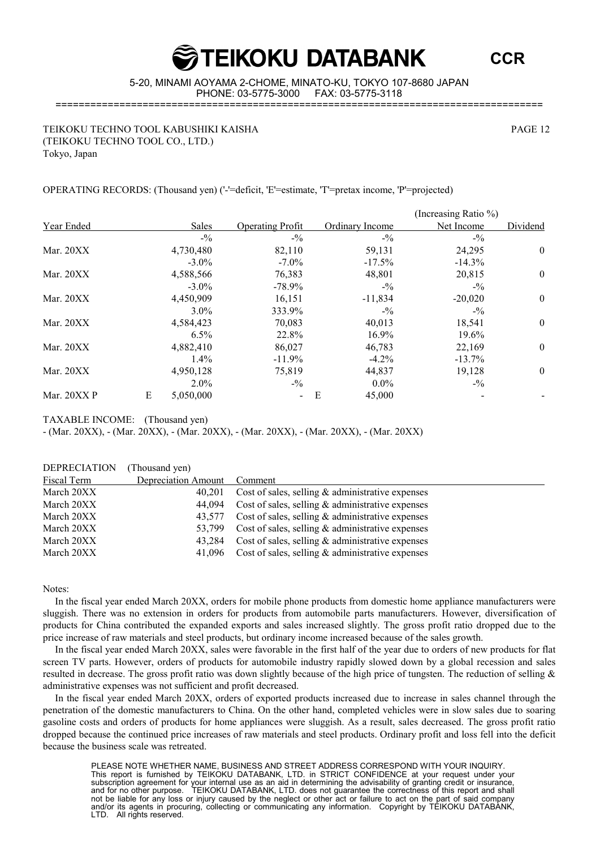**CCR**

5-20, MINAMI AOYAMA 2-CHOME, MINATO-KU, TOKYO 107-8680 JAPAN PHONE: 03-5775-3000 FAX: 03-5775-3118

====================================================================================

TEIKOKU TECHNO TOOL KABUSHIKI KAISHA PAGE 12 (TEIKOKU TECHNO TOOL CO., LTD.) Tokyo, Japan

OPERATING RECORDS: (Thousand yen) ('-'=deficit, 'E'=estimate, 'T'=pretax income, 'P'=projected)

|             |   |           |                          |                 | (Increasing Ratio %) |                |
|-------------|---|-----------|--------------------------|-----------------|----------------------|----------------|
| Year Ended  |   | Sales     | <b>Operating Profit</b>  | Ordinary Income | Net Income           | Dividend       |
|             |   | $-9/0$    | $- \frac{0}{2}$          | $- \frac{0}{2}$ | $-9/0$               |                |
| Mar. 20XX   |   | 4,730,480 | 82,110                   | 59,131          | 24,295               | $\overline{0}$ |
|             |   | $-3.0\%$  | $-7.0\%$                 | $-17.5\%$       | $-14.3\%$            |                |
| Mar. 20XX   |   | 4,588,566 | 76,383                   | 48,801          | 20,815               | $\overline{0}$ |
|             |   | $-3.0\%$  | $-78.9\%$                | $-9/0$          | $-1/2$               |                |
| Mar. 20XX   |   | 4,450,909 | 16,151                   | $-11,834$       | $-20,020$            | $\overline{0}$ |
|             |   | $3.0\%$   | 333.9%                   | $-9/0$          | $-9/0$               |                |
| Mar. 20XX   |   | 4,584,423 | 70,083                   | 40,013          | 18,541               | $\mathbf{0}$   |
|             |   | $6.5\%$   | 22.8%                    | 16.9%           | 19.6%                |                |
| Mar. 20XX   |   | 4,882,410 | 86,027                   | 46,783          | 22,169               | $\overline{0}$ |
|             |   | $1.4\%$   | $-11.9%$                 | $-4.2\%$        | $-13.7\%$            |                |
| Mar. 20XX   |   | 4,950,128 | 75,819                   | 44,837          | 19,128               | $\mathbf{0}$   |
|             |   | $2.0\%$   | $-9/0$                   | $0.0\%$         | $-9/0$               |                |
| Mar. 20XX P | E | 5,050,000 | $\overline{\phantom{a}}$ | Ε<br>45,000     |                      |                |

TAXABLE INCOME: (Thousand yen)

- (Mar. 20XX), - (Mar. 20XX), - (Mar. 20XX), - (Mar. 20XX), - (Mar. 20XX), - (Mar. 20XX)

DEPRECIATION (Thousand yen)

| Fiscal Term | Depreciation Amount Comment |                                                            |
|-------------|-----------------------------|------------------------------------------------------------|
| March 20XX  | 40.201                      | Cost of sales, selling $\&$ administrative expenses        |
| March 20XX  |                             | 44,094 Cost of sales, selling $\&$ administrative expenses |
| March 20XX  | 43.577                      | Cost of sales, selling $\&$ administrative expenses        |
| March 20XX  |                             | 53,799 Cost of sales, selling & administrative expenses    |
| March 20XX  | 43.284                      | Cost of sales, selling $\&$ administrative expenses        |
| March 20XX  |                             | 41,096 Cost of sales, selling $\&$ administrative expenses |

Notes:

In the fiscal year ended March 20XX, orders for mobile phone products from domestic home appliance manufacturers were sluggish. There was no extension in orders for products from automobile parts manufacturers. However, diversification of products for China contributed the expanded exports and sales increased slightly. The gross profit ratio dropped due to the price increase of raw materials and steel products, but ordinary income increased because of the sales growth.

In the fiscal year ended March 20XX, sales were favorable in the first half of the year due to orders of new products for flat screen TV parts. However, orders of products for automobile industry rapidly slowed down by a global recession and sales resulted in decrease. The gross profit ratio was down slightly because of the high price of tungsten. The reduction of selling & administrative expenses was not sufficient and profit decreased.

In the fiscal year ended March 20XX, orders of exported products increased due to increase in sales channel through the penetration of the domestic manufacturers to China. On the other hand, completed vehicles were in slow sales due to soaring gasoline costs and orders of products for home appliances were sluggish. As a result, sales decreased. The gross profit ratio dropped because the continued price increases of raw materials and steel products. Ordinary profit and loss fell into the deficit because the business scale was retreated.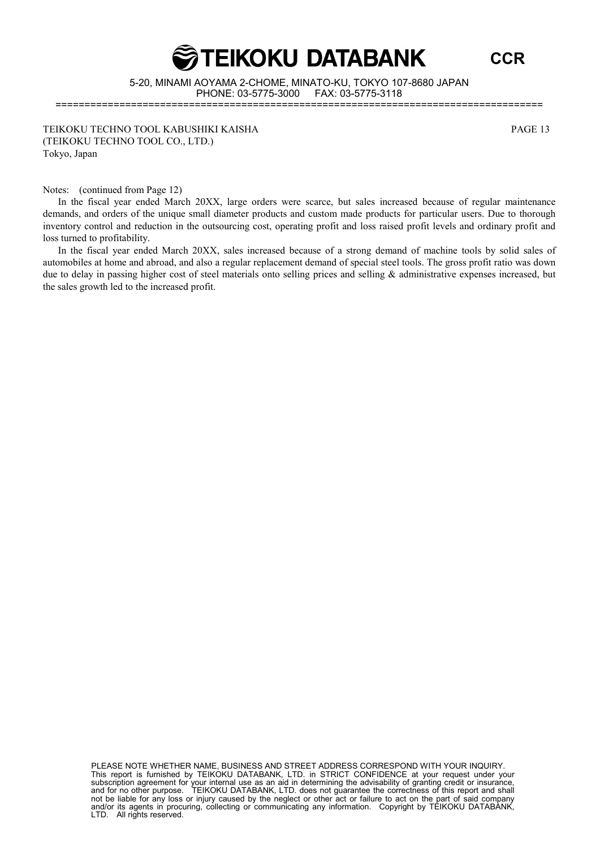

**CCR**

5-20, MINAMI AOYAMA 2-CHOME, MINATO-KU, TOKYO 107-8680 JAPAN PHONE: 03-5775-3000 FAX: 03-5775-3118 ====================================================================================

TEIKOKU TECHNO TOOL KABUSHIKI KAISHA PAGE 13 (TEIKOKU TECHNO TOOL CO., LTD.) Tokyo, Japan

Notes: (continued from Page 12)

In the fiscal year ended March 20XX, large orders were scarce, but sales increased because of regular maintenance demands, and orders of the unique small diameter products and custom made products for particular users. Due to thorough inventory control and reduction in the outsourcing cost, operating profit and loss raised profit levels and ordinary profit and loss turned to profitability.

In the fiscal year ended March 20XX, sales increased because of a strong demand of machine tools by solid sales of automobiles at home and abroad, and also a regular replacement demand of special steel tools. The gross profit ratio was down due to delay in passing higher cost of steel materials onto selling prices and selling & administrative expenses increased, but the sales growth led to the increased profit.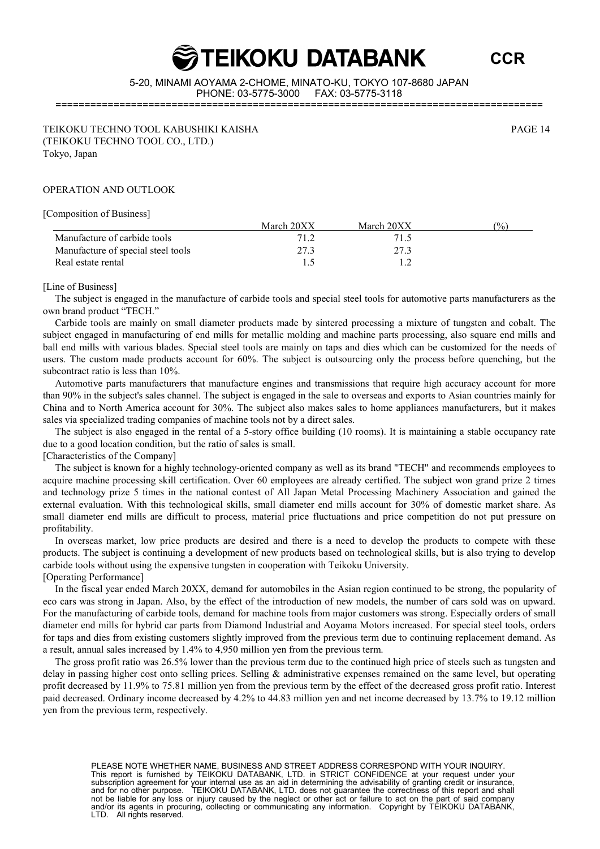**CCR**

5-20, MINAMI AOYAMA 2-CHOME, MINATO-KU, TOKYO 107-8680 JAPAN PHONE: 03-5775-3000 FAX: 03-5775-3118

====================================================================================

TEIKOKU TECHNO TOOL KABUSHIKI KAISHA PAGE 14 (TEIKOKU TECHNO TOOL CO., LTD.) Tokyo, Japan

#### OPERATION AND OUTLOOK

[Composition of Business]

|                                    | March 20XX | March 20XX | $\frac{(0)}{0}$ |
|------------------------------------|------------|------------|-----------------|
| Manufacture of carbide tools       | 71 2       |            |                 |
| Manufacture of special steel tools | 27.3       | 27.3       |                 |
| Real estate rental                 |            |            |                 |

#### [Line of Business]

The subject is engaged in the manufacture of carbide tools and special steel tools for automotive parts manufacturers as the own brand product "TECH."

Carbide tools are mainly on small diameter products made by sintered processing a mixture of tungsten and cobalt. The subject engaged in manufacturing of end mills for metallic molding and machine parts processing, also square end mills and ball end mills with various blades. Special steel tools are mainly on taps and dies which can be customized for the needs of users. The custom made products account for 60%. The subject is outsourcing only the process before quenching, but the subcontract ratio is less than 10%.

Automotive parts manufacturers that manufacture engines and transmissions that require high accuracy account for more than 90% in the subject's sales channel. The subject is engaged in the sale to overseas and exports to Asian countries mainly for China and to North America account for 30%. The subject also makes sales to home appliances manufacturers, but it makes sales via specialized trading companies of machine tools not by a direct sales.

The subject is also engaged in the rental of a 5-story office building (10 rooms). It is maintaining a stable occupancy rate due to a good location condition, but the ratio of sales is small.

#### [Characteristics of the Company]

The subject is known for a highly technology-oriented company as well as its brand "TECH" and recommends employees to acquire machine processing skill certification. Over 60 employees are already certified. The subject won grand prize 2 times and technology prize 5 times in the national contest of All Japan Metal Processing Machinery Association and gained the external evaluation. With this technological skills, small diameter end mills account for 30% of domestic market share. As small diameter end mills are difficult to process, material price fluctuations and price competition do not put pressure on profitability.

In overseas market, low price products are desired and there is a need to develop the products to compete with these products. The subject is continuing a development of new products based on technological skills, but is also trying to develop carbide tools without using the expensive tungsten in cooperation with Teikoku University. [Operating Performance]

In the fiscal year ended March 20XX, demand for automobiles in the Asian region continued to be strong, the popularity of eco cars was strong in Japan. Also, by the effect of the introduction of new models, the number of cars sold was on upward. For the manufacturing of carbide tools, demand for machine tools from major customers was strong. Especially orders of small diameter end mills for hybrid car parts from Diamond Industrial and Aoyama Motors increased. For special steel tools, orders for taps and dies from existing customers slightly improved from the previous term due to continuing replacement demand. As a result, annual sales increased by 1.4% to 4,950 million yen from the previous term.

The gross profit ratio was 26.5% lower than the previous term due to the continued high price of steels such as tungsten and delay in passing higher cost onto selling prices. Selling  $\&$  administrative expenses remained on the same level, but operating profit decreased by 11.9% to 75.81 million yen from the previous term by the effect of the decreased gross profit ratio. Interest paid decreased. Ordinary income decreased by 4.2% to 44.83 million yen and net income decreased by 13.7% to 19.12 million yen from the previous term, respectively.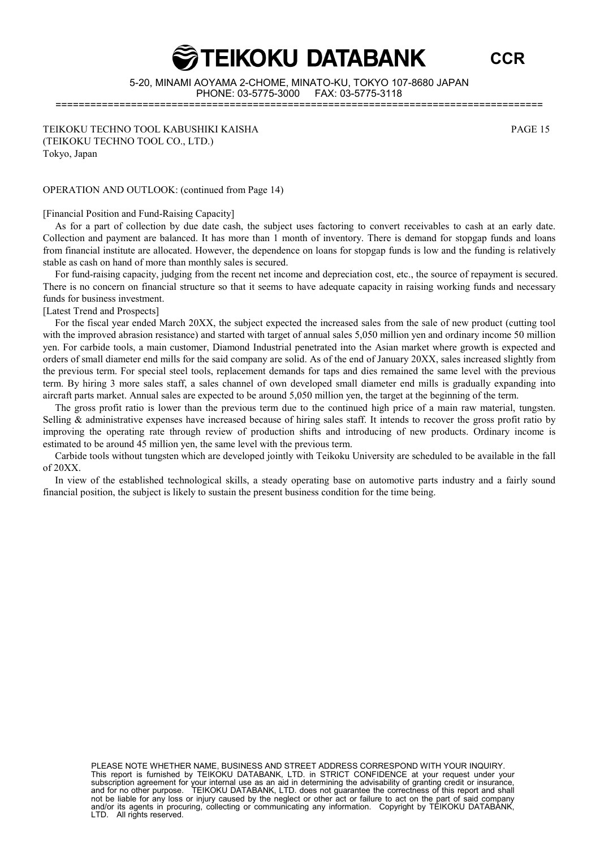**CCR**

5-20, MINAMI AOYAMA 2-CHOME, MINATO-KU, TOKYO 107-8680 JAPAN PHONE: 03-5775-3000 FAX: 03-5775-3118 ====================================================================================

TEIKOKU TECHNO TOOL KABUSHIKI KAISHA PAGE 15 (TEIKOKU TECHNO TOOL CO., LTD.) Tokyo, Japan

OPERATION AND OUTLOOK: (continued from Page 14)

[Financial Position and Fund-Raising Capacity]

As for a part of collection by due date cash, the subject uses factoring to convert receivables to cash at an early date. Collection and payment are balanced. It has more than 1 month of inventory. There is demand for stopgap funds and loans from financial institute are allocated. However, the dependence on loans for stopgap funds is low and the funding is relatively stable as cash on hand of more than monthly sales is secured.

For fund-raising capacity, judging from the recent net income and depreciation cost, etc., the source of repayment is secured. There is no concern on financial structure so that it seems to have adequate capacity in raising working funds and necessary funds for business investment.

#### [Latest Trend and Prospects]

For the fiscal year ended March 20XX, the subject expected the increased sales from the sale of new product (cutting tool with the improved abrasion resistance) and started with target of annual sales 5,050 million yen and ordinary income 50 million yen. For carbide tools, a main customer, Diamond Industrial penetrated into the Asian market where growth is expected and orders of small diameter end mills for the said company are solid. As of the end of January 20XX, sales increased slightly from the previous term. For special steel tools, replacement demands for taps and dies remained the same level with the previous term. By hiring 3 more sales staff, a sales channel of own developed small diameter end mills is gradually expanding into aircraft parts market. Annual sales are expected to be around 5,050 million yen, the target at the beginning of the term.

The gross profit ratio is lower than the previous term due to the continued high price of a main raw material, tungsten. Selling & administrative expenses have increased because of hiring sales staff. It intends to recover the gross profit ratio by improving the operating rate through review of production shifts and introducing of new products. Ordinary income is estimated to be around 45 million yen, the same level with the previous term.

Carbide tools without tungsten which are developed jointly with Teikoku University are scheduled to be available in the fall of 20XX.

In view of the established technological skills, a steady operating base on automotive parts industry and a fairly sound financial position, the subject is likely to sustain the present business condition for the time being.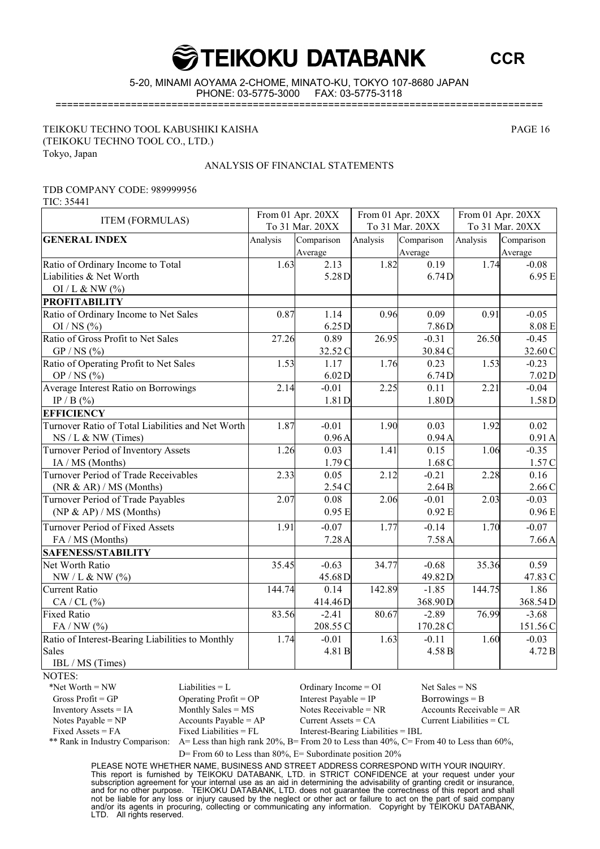**CCR**

5-20, MINAMI AOYAMA 2-CHOME, MINATO-KU, TOKYO 107-8680 JAPAN PHONE: 03-5775-3000

====================================================================================

TEIKOKU TECHNO TOOL KABUSHIKI KAISHA PAGE 16 (TEIKOKU TECHNO TOOL CO., LTD.) Tokyo, Japan

#### ANALYSIS OF FINANCIAL STATEMENTS

#### TDB COMPANY CODE: 989999956

TIC: 35441

| <b>ITEM (FORMULAS)</b>                            | From 01 Apr. 20XX |            | From 01 Apr. 20XX |            | From 01 Apr. 20XX |            |
|---------------------------------------------------|-------------------|------------|-------------------|------------|-------------------|------------|
|                                                   | To 31 Mar. 20XX   |            | To 31 Mar. 20XX   |            | To 31 Mar. 20XX   |            |
| <b>GENERAL INDEX</b>                              | Analysis          | Comparison | Analysis          | Comparison | Analysis          | Comparison |
|                                                   |                   | Average    |                   | Average    |                   | Average    |
| Ratio of Ordinary Income to Total                 | 1.63              | 2.13       | 1.82              | 0.19       | 1.74              | $-0.08$    |
| Liabilities & Net Worth                           |                   | 5.28D      |                   | 6.74D      |                   | 6.95 E     |
| OI / L & NW $(\%$                                 |                   |            |                   |            |                   |            |
| <b>PROFITABILITY</b>                              |                   |            |                   |            |                   |            |
| Ratio of Ordinary Income to Net Sales             | 0.87              | 1.14       | 0.96              | 0.09       | 0.91              | $-0.05$    |
| OI / NS $(\% )$                                   |                   | 6.25 D     |                   | 7.86D      |                   | $8.08\to$  |
| Ratio of Gross Profit to Net Sales                | 27.26             | 0.89       | 26.95             | $-0.31$    | 26.50             | $-0.45$    |
| $GP/NS$ (%)                                       |                   | 32.52 C    |                   | 30.84 C    |                   | 32.60 C    |
| Ratio of Operating Profit to Net Sales            | 1.53              | 1.17       | 1.76              | 0.23       | 1.53              | $-0.23$    |
| OP / NS $(\%$                                     |                   | 6.02D      |                   | 6.74D      |                   | $7.02D$    |
| <b>Average Interest Ratio on Borrowings</b>       | 2.14              | $-0.01$    | 2.25              | 0.11       | 2.21              | $-0.04$    |
| IP / B $(\%$                                      |                   | 1.81D      |                   | 1.80D      |                   | 1.58D      |
| <b>EFFICIENCY</b>                                 |                   |            |                   |            |                   |            |
| Turnover Ratio of Total Liabilities and Net Worth | 1.87              | $-0.01$    | 1.90              | 0.03       | 1.92              | 0.02       |
| $NS/L & NW$ (Times)                               |                   | 0.96A      |                   | 0.94A      |                   | 0.91A      |
| Turnover Period of Inventory Assets               | 1.26              | 0.03       | 1.41              | 0.15       | 1.06              | $-0.35$    |
| IA / MS (Months)                                  |                   | 1.79C      |                   | 1.68C      |                   | 1.57 C     |
| <b>Turnover Period of Trade Receivables</b>       | 2.33              | 0.05       | 2.12              | $-0.21$    | 2.28              | 0.16       |
| (NR & AR) / MS (Months)                           |                   | 2.54 C     |                   | 2.64B      |                   | 2.66C      |
| Turnover Period of Trade Payables                 | 2.07              | 0.08       | 2.06              | $-0.01$    | 2.03              | $-0.03$    |
| (NP & AP) / MS (Monthly)                          |                   | 0.95E      |                   | 0.92 E     |                   | 0.96E      |
| <b>Turnover Period of Fixed Assets</b>            | 1.91              | $-0.07$    | 1.77              | $-0.14$    | 1.70              | $-0.07$    |
| FA / MS (Months)                                  |                   | 7.28A      |                   | 7.58A      |                   | 7.66A      |
| <b>SAFENESS/STABILITY</b>                         |                   |            |                   |            |                   |            |
| Net Worth Ratio                                   | 35.45             | $-0.63$    | 34.77             | $-0.68$    | 35.36             | 0.59       |
| $NW/L & SW(\%)$                                   |                   | 45.68D     |                   | 49.82D     |                   | 47.83 C    |
| <b>Current Ratio</b>                              | 144.74            | 0.14       | 142.89            | $-1.85$    | 144.75            | 1.86       |
| $CA / CL$ (%)                                     |                   | 414.46D    |                   | 368.90D    |                   | 368.54D    |
| <b>Fixed Ratio</b>                                | 83.56             | $-2.41$    | 80.67             | $-2.89$    | 76.99             | $-3.68$    |
| $FA/NW$ (%)                                       |                   | 208.55 C   |                   | 170.28 C   |                   | 151.56C    |
| Ratio of Interest-Bearing Liabilities to Monthly  | 1.74              | $-0.01$    | 1.63              | $-0.11$    | 1.60              | $-0.03$    |
| <b>Sales</b>                                      |                   | 4.81 B     |                   | 4.58 B     |                   | 4.72 B     |
| IBL / MS (Times)                                  |                   |            |                   |            |                   |            |

NOTES:

\*Net Worth = NW Liabilities = L Ordinary Income = OI Net Sales = NS

Gross Profit = GP Operating Profit = OP Interest Payable = IP Borrowings = B Inventory Assets = IA Monthly Sales = MS Notes Receivable = NR Accounts Receivable = AR Notes Payable = NP Accounts Payable = AP Current Assets = CA Current Liabilities = CL Fixed Assets = FA Fixed Liabilities = FL Interest-Bearing Liabilities = IBL

\*\* Rank in Industry Comparison: A= Less than high rank 20%, B= From 20 to Less than 40%, C= From 40 to Less than 60%,

D= From 60 to Less than  $80\%$ , E= Subordinate position  $20\%$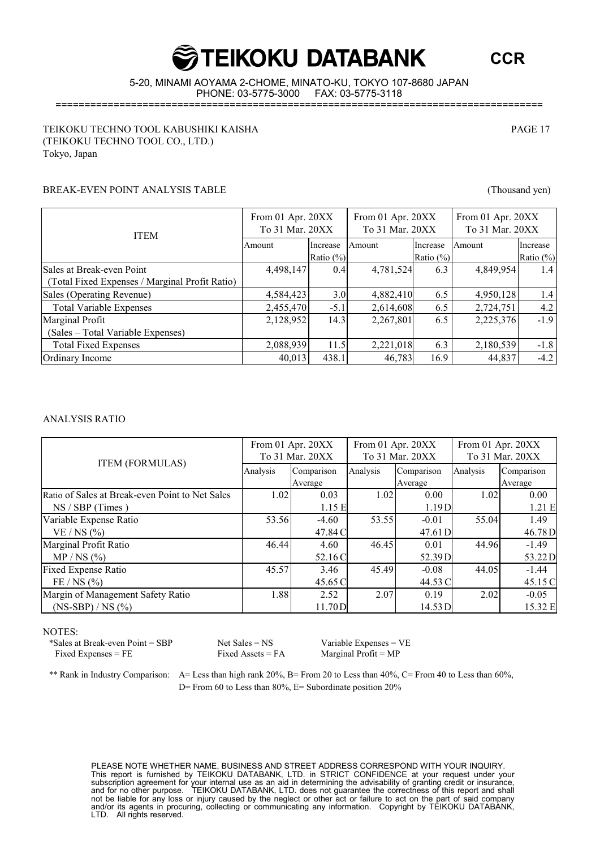**CCR**

5-20, MINAMI AOYAMA 2-CHOME, MINATO-KU, TOKYO 107-8680 JAPAN PHONE: 03-5775-3000

====================================================================================

#### TEIKOKU TECHNO TOOL KABUSHIKI KAISHA PAGE 17 (TEIKOKU TECHNO TOOL CO., LTD.) Tokyo, Japan

#### BREAK-EVEN POINT ANALYSIS TABLE (Thousand yen)

| <b>ITEM</b>                                    | From 01 Apr. 20XX<br>To 31 Mar. 20XX |               | From 01 Apr. 20XX<br>To 31 Mar. 20XX |              | From 01 Apr. 20XX<br>To 31 Mar. 20XX |              |
|------------------------------------------------|--------------------------------------|---------------|--------------------------------------|--------------|--------------------------------------|--------------|
|                                                | Amount                               | Increase      | Amount                               | Increase     | Amount                               | Increase     |
|                                                |                                      | Ratio $(\% )$ |                                      | Ratio $(\%)$ |                                      | Ratio $(\%)$ |
| Sales at Break-even Point                      | 4,498,147                            | 0.4           | 4,781,524                            | 6.3          | 4,849,954                            | 1.4          |
| (Total Fixed Expenses / Marginal Profit Ratio) |                                      |               |                                      |              |                                      |              |
| Sales (Operating Revenue)                      | 4,584,423                            | 3.0           | 4,882,410                            | 6.5          | 4,950,128                            | 1.4          |
| <b>Total Variable Expenses</b>                 | 2,455,470                            | $-5.1$        | 2,614,608                            | 6.5          | 2,724,751                            | 4.2          |
| Marginal Profit                                | 2,128,952                            | 14.3          | 2,267,801                            | 6.5          | 2,225,376                            | $-1.9$       |
| (Sales – Total Variable Expenses)              |                                      |               |                                      |              |                                      |              |
| <b>Total Fixed Expenses</b>                    | 2,088,939                            | 11.5          | 2,221,018                            | 6.3          | 2,180,539                            | $-1.8$       |
| Ordinary Income                                | 40,013                               | 438.1         | 46,783                               | 16.9         | 44,837                               | $-4.2$       |

#### ANALYSIS RATIO

|                                                 | From 01 Apr. 20XX |            | From 01 Apr. 20XX |            | From 01 Apr. 20XX |            |
|-------------------------------------------------|-------------------|------------|-------------------|------------|-------------------|------------|
| <b>ITEM (FORMULAS)</b>                          | To 31 Mar. 20XX   |            | To 31 Mar. 20XX   |            | To 31 Mar. 20XX   |            |
|                                                 | Analysis          | Comparison | Analysis          | Comparison | Analysis          | Comparison |
|                                                 |                   | Average    |                   | Average    |                   | Average    |
| Ratio of Sales at Break-even Point to Net Sales | 1.02              | 0.03       | 1.02              | 0.00       | 1.02              | 0.00       |
| $NS / SBP$ (Times)                              |                   | 1.15E      |                   | 1.19D      |                   | 1.21 E     |
| Variable Expense Ratio                          | 53.56             | $-4.60$    | 53.55             | $-0.01$    | 55.04             | 1.49       |
| $VE/NS$ (%)                                     |                   | 47.84 C    |                   | 47.61 D    |                   | 46.78D     |
| Marginal Profit Ratio                           | 46.44             | 4.60       | 46.45             | 0.01       | 44.96             | $-1.49$    |
| MP / NS (%)                                     |                   | 52.16 C    |                   | 52.39 D    |                   | 53.22D     |
| <b>Fixed Expense Ratio</b>                      | 45.57             | 3.46       | 45.49             | $-0.08$    | 44.05             | $-1.44$    |
| FE / NS (%)                                     |                   | 45.65 C    |                   | 44.53 C    |                   | 45.15 C    |
| Margin of Management Safety Ratio               | 1.88              | 2.52       | 2.07              | 0.19       | 2.02              | $-0.05$    |
| $(NS-BBP) / NS$ (%)                             |                   | 11.70D     |                   | 14.53 D    |                   | 15.32 E    |

#### NOTES:

\*Sales at Break-even Point = SBP Net Sales = NS Variable Expenses = VE Fixed Expenses = FE Fixed Assets = FA Marginal Profit =  $MP$ 

\*\* Rank in Industry Comparison: A= Less than high rank 20%, B= From 20 to Less than 40%, C= From 40 to Less than 60%, D= From 60 to Less than 80%, E= Subordinate position  $20\%$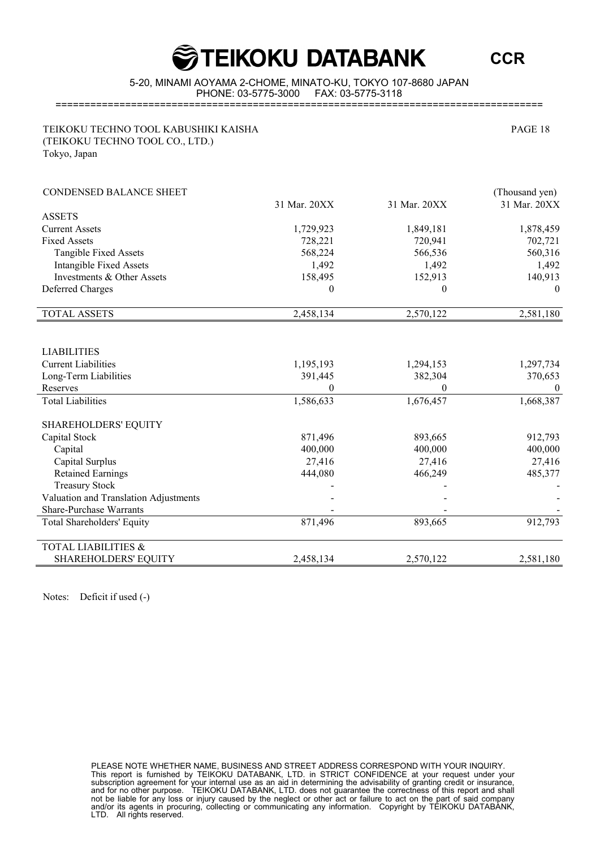**CCR**

5-20, MINAMI AOYAMA 2-CHOME, MINATO-KU, TOKYO 107-8680 JAPAN PHONE: 03-5775-3000 FAX: 03-5775-3118

====================================================================================

TEIKOKU TECHNO TOOL KABUSHIKI KAISHA PAGE 18 (TEIKOKU TECHNO TOOL CO., LTD.) Tokyo, Japan

| <b>CONDENSED BALANCE SHEET</b>        |                  |                  | (Thousand yen) |
|---------------------------------------|------------------|------------------|----------------|
|                                       | 31 Mar. 20XX     | 31 Mar. 20XX     | 31 Mar. 20XX   |
| <b>ASSETS</b>                         |                  |                  |                |
| <b>Current Assets</b>                 | 1,729,923        | 1,849,181        | 1,878,459      |
| <b>Fixed Assets</b>                   | 728,221          | 720,941          | 702,721        |
| <b>Tangible Fixed Assets</b>          | 568,224          | 566,536          | 560,316        |
| <b>Intangible Fixed Assets</b>        | 1,492            | 1,492            | 1,492          |
| Investments & Other Assets            | 158,495          | 152,913          | 140,913        |
| <b>Deferred Charges</b>               | $\boldsymbol{0}$ | $\boldsymbol{0}$ | $\theta$       |
| <b>TOTAL ASSETS</b>                   | 2,458,134        | 2,570,122        | 2,581,180      |
|                                       |                  |                  |                |
| <b>LIABILITIES</b>                    |                  |                  |                |
| <b>Current Liabilities</b>            | 1,195,193        | 1,294,153        | 1,297,734      |
| Long-Term Liabilities                 | 391,445          | 382,304          | 370,653        |
| Reserves                              | 0                | $\overline{0}$   | $\theta$       |
| <b>Total Liabilities</b>              | 1,586,633        | 1,676,457        | 1,668,387      |
| SHAREHOLDERS' EQUITY                  |                  |                  |                |
| Capital Stock                         | 871,496          | 893,665          | 912,793        |
| Capital                               | 400,000          | 400,000          | 400,000        |
| Capital Surplus                       | 27,416           | 27,416           | 27,416         |
| <b>Retained Earnings</b>              | 444,080          | 466,249          | 485,377        |
| <b>Treasury Stock</b>                 |                  |                  |                |
| Valuation and Translation Adjustments |                  |                  |                |
| Share-Purchase Warrants               |                  |                  |                |
| <b>Total Shareholders' Equity</b>     | 871,496          | 893,665          | 912,793        |
| <b>TOTAL LIABILITIES &amp;</b>        |                  |                  |                |
| SHAREHOLDERS' EQUITY                  | 2,458,134        | 2,570,122        | 2,581,180      |
|                                       |                  |                  |                |

Notes: Deficit if used (-)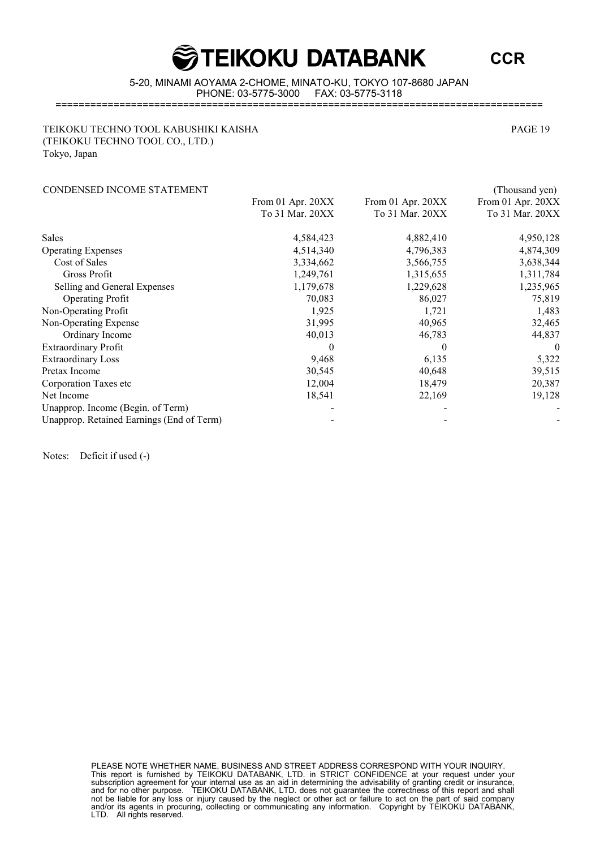### **GOBBANG TEIKOKU DATABANK**

**CCR**

5-20, MINAMI AOYAMA 2-CHOME, MINATO-KU, TOKYO 107-8680 JAPAN PHONE: 03-5775-3000 FAX: 03-5775-3118

====================================================================================

#### TEIKOKU TECHNO TOOL KABUSHIKI KAISHA PAGE 19 (TEIKOKU TECHNO TOOL CO., LTD.) Tokyo, Japan

#### CONDENSED INCOME STATEMENT (Thousand yen)

|                                           | From 01 Apr. 20XX | From 01 Apr. 20XX | From 01 Apr. 20XX |  |
|-------------------------------------------|-------------------|-------------------|-------------------|--|
|                                           | To 31 Mar. 20XX   | To 31 Mar. 20XX   | To 31 Mar. 20XX   |  |
| Sales                                     | 4,584,423         | 4,882,410         | 4,950,128         |  |
| <b>Operating Expenses</b>                 | 4,514,340         | 4,796,383         | 4,874,309         |  |
| Cost of Sales                             | 3,334,662         | 3,566,755         | 3,638,344         |  |
| Gross Profit                              | 1,249,761         | 1,315,655         | 1,311,784         |  |
| Selling and General Expenses              | 1,179,678         | 1,229,628         | 1,235,965         |  |
| <b>Operating Profit</b>                   | 70,083            | 86,027            | 75,819            |  |
| Non-Operating Profit                      | 1,925             | 1,721             | 1,483             |  |
| Non-Operating Expense                     | 31,995            | 40,965            | 32,465            |  |
| Ordinary Income                           | 40,013            | 46,783            | 44,837            |  |
| <b>Extraordinary Profit</b>               |                   | $\theta$          | $\theta$          |  |
| <b>Extraordinary Loss</b>                 | 9,468             | 6,135             | 5,322             |  |
| Pretax Income                             | 30,545            | 40,648            | 39,515            |  |
| Corporation Taxes etc                     | 12,004            | 18,479            | 20,387            |  |
| Net Income                                | 18,541            | 22,169            | 19,128            |  |
| Unapprop. Income (Begin. of Term)         |                   |                   |                   |  |
| Unapprop. Retained Earnings (End of Term) |                   |                   |                   |  |

Notes: Deficit if used (-)